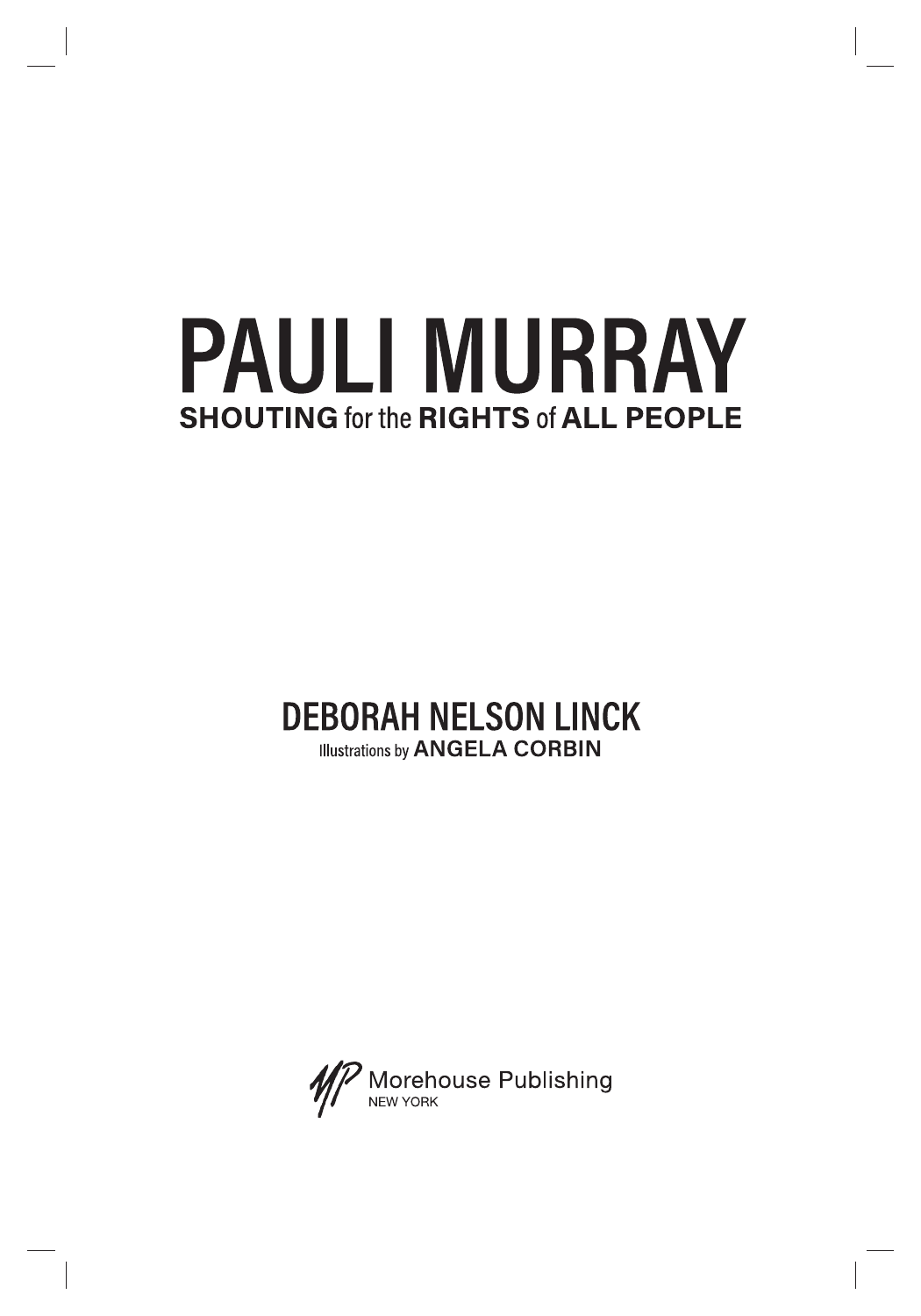# **PAULI MURRAY SHOUTING for the RIGHTS of ALL PEOPLE**

### **DEBORAH NELSON LINCK Illustrations by ANGELA CORBIN**

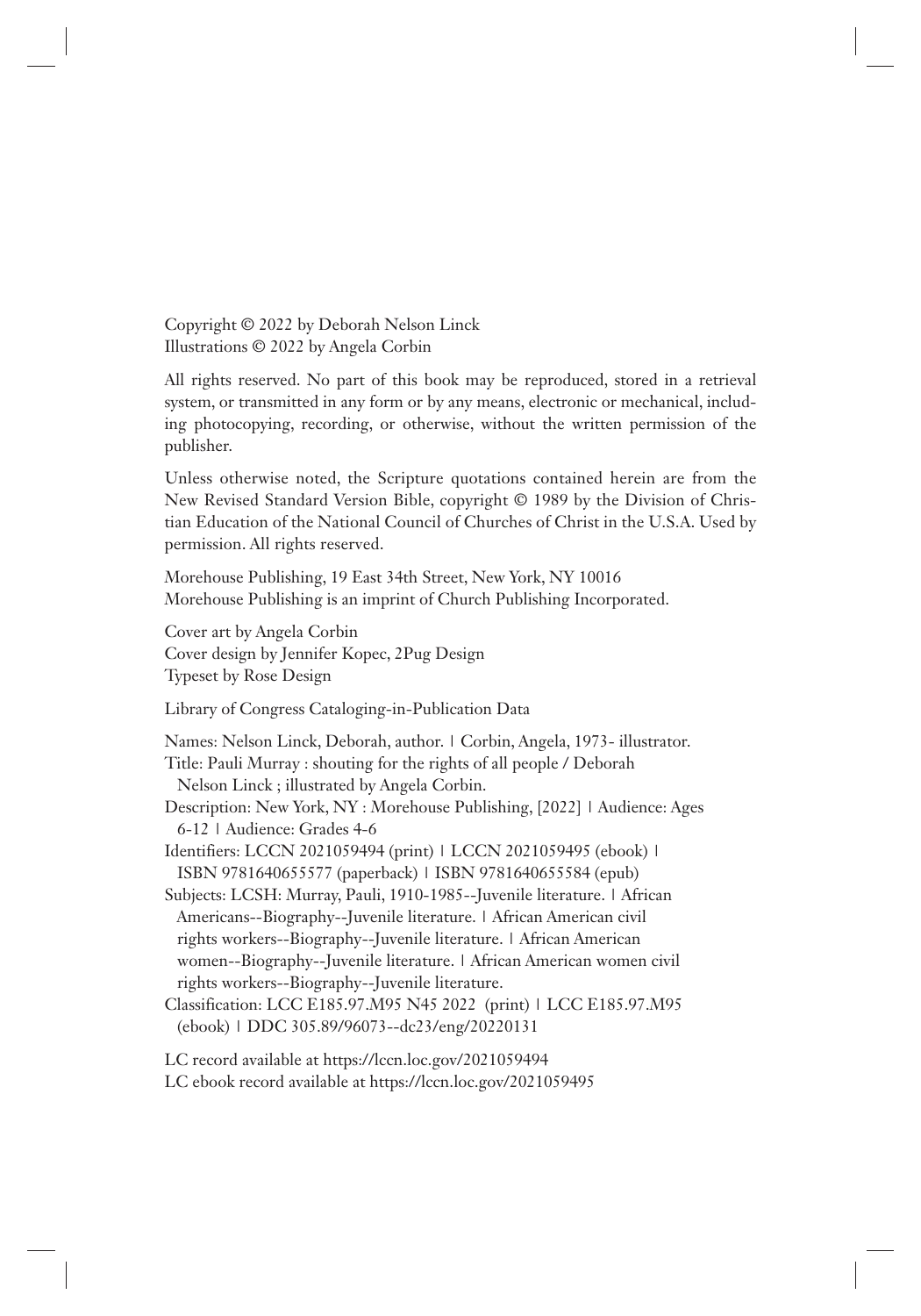Copyright © 2022 by Deborah Nelson Linck Illustrations © 2022 by Angela Corbin

All rights reserved. No part of this book may be reproduced, stored in a retrieval system, or transmitted in any form or by any means, electronic or mechanical, including photocopying, recording, or otherwise, without the written permission of the publisher.

Unless otherwise noted, the Scripture quotations contained herein are from the New Revised Standard Version Bible, copyright © 1989 by the Division of Christian Education of the National Council of Churches of Christ in the U.S.A. Used by permission. All rights reserved.

Morehouse Publishing, 19 East 34th Street, New York, NY 10016 Morehouse Publishing is an imprint of Church Publishing Incorporated.

Cover art by Angela Corbin Cover design by Jennifer Kopec, 2Pug Design Typeset by Rose Design

Library of Congress Cataloging-in-Publication Data

Names: Nelson Linck, Deborah, author. | Corbin, Angela, 1973- illustrator. Title: Pauli Murray : shouting for the rights of all people / Deborah Nelson Linck ; illustrated by Angela Corbin.

Description: New York, NY : Morehouse Publishing, [2022] | Audience: Ages 6-12 | Audience: Grades 4-6

Identifiers: LCCN 2021059494 (print) | LCCN 2021059495 (ebook) | ISBN 9781640655577 (paperback) | ISBN 9781640655584 (epub)

- Subjects: LCSH: Murray, Pauli, 1910-1985--Juvenile literature. | African Americans--Biography--Juvenile literature. | African American civil rights workers--Biography--Juvenile literature. | African American women--Biography--Juvenile literature. | African American women civil rights workers--Biography--Juvenile literature.
- Classification: LCC E185.97.M95 N45 2022 (print) | LCC E185.97.M95 (ebook) | DDC 305.89/96073--dc23/eng/20220131

LC record available at https://lccn.loc.gov/2021059494

LC ebook record available at https://lccn.loc.gov/2021059495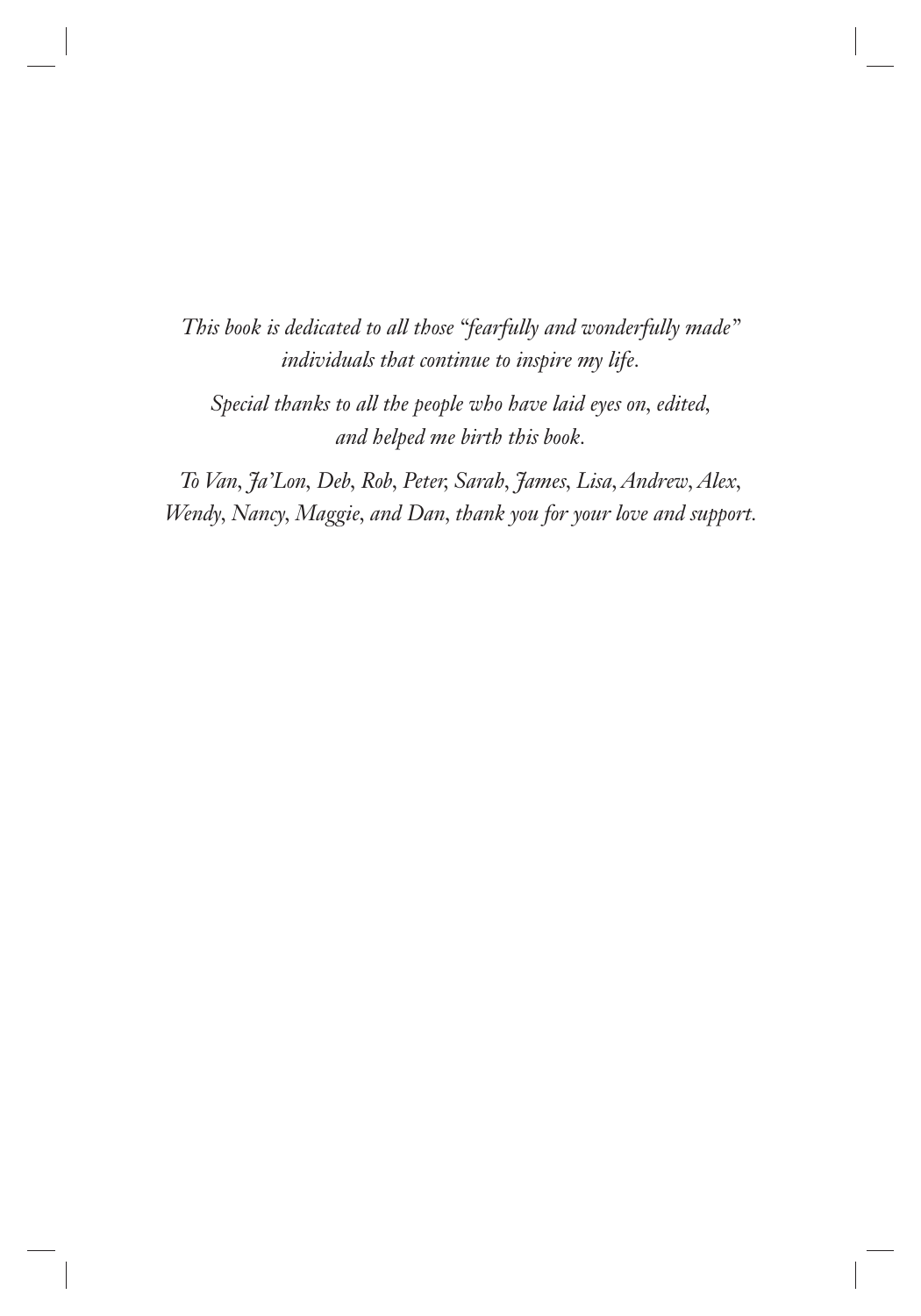*This book is dedicated to all those "fearfully and wonderfully made" individuals that continue to inspire my life.* 

*Special thanks to all the people who have laid eyes on, edited, and helped me birth this book.* 

*To Van, Ja'Lon, Deb, Rob, Peter, Sarah, James, Lisa, Andrew, Alex, Wendy, Nancy, Maggie, and Dan, thank you for your love and support.*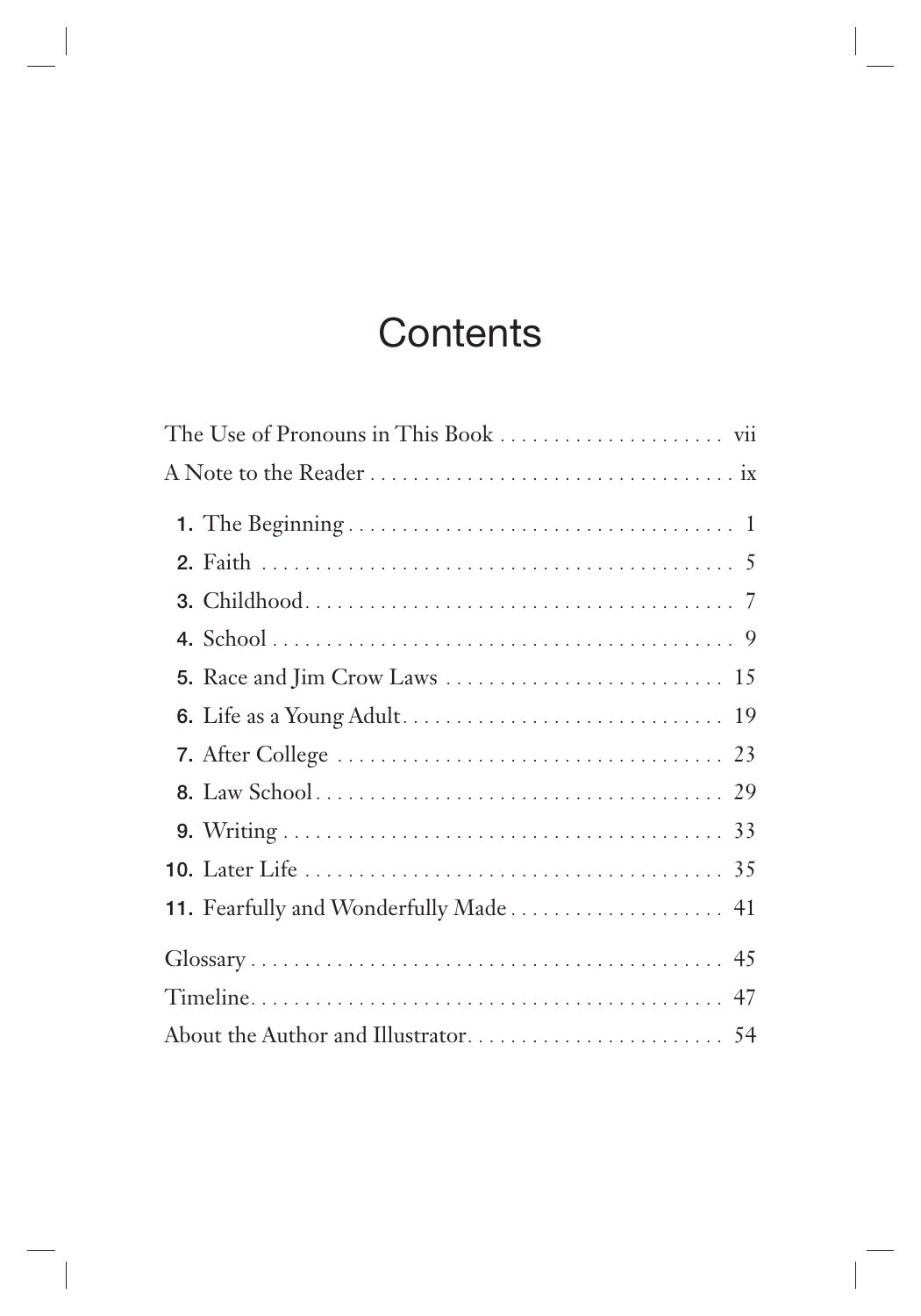### **Contents**

| 11. Fearfully and Wonderfully Made 41 |
|---------------------------------------|
|                                       |
|                                       |
|                                       |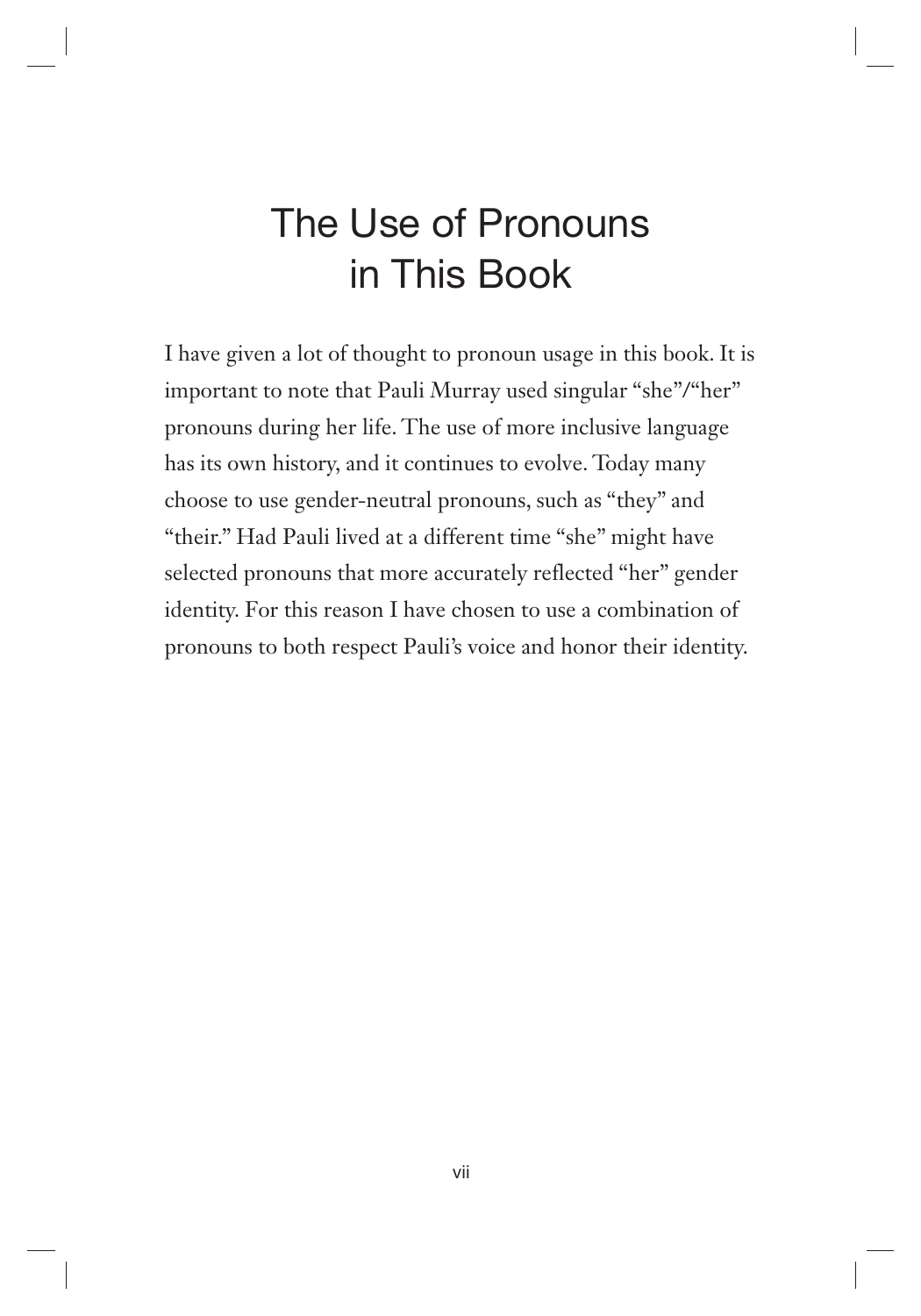### The Use of Pronouns in This Book

I have given a lot of thought to pronoun usage in this book. It is important to note that Pauli Murray used singular "she"/"her" pronouns during her life. The use of more inclusive language has its own history, and it continues to evolve. Today many choose to use gender-neutral pronouns, such as "they" and "their." Had Pauli lived at a different time "she" might have selected pronouns that more accurately reflected "her" gender identity. For this reason I have chosen to use a combination of pronouns to both respect Pauli's voice and honor their identity.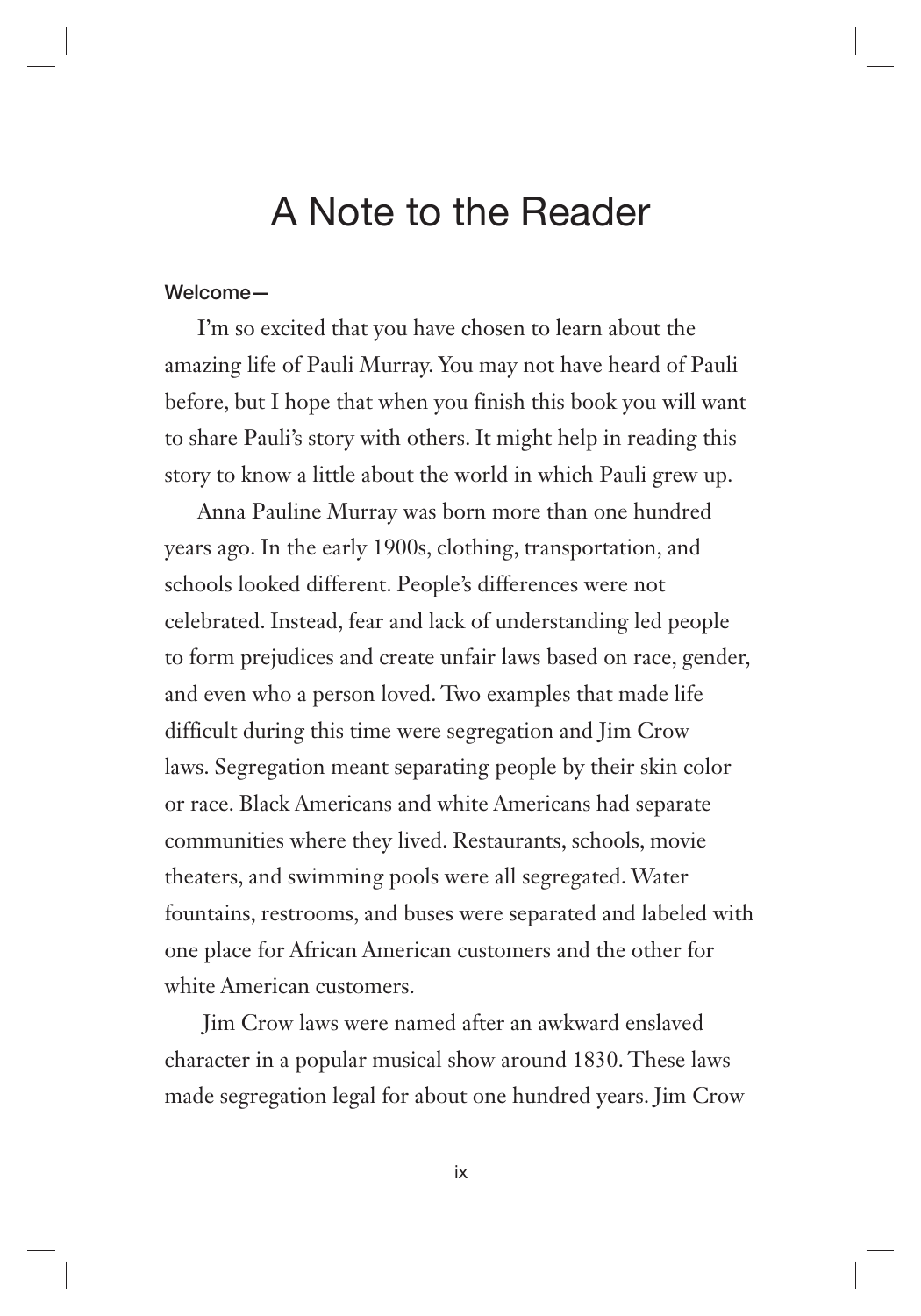### A Note to the Reader

#### **Welcome—**

I'm so excited that you have chosen to learn about the amazing life of Pauli Murray. You may not have heard of Pauli before, but I hope that when you finish this book you will want to share Pauli's story with others. It might help in reading this story to know a little about the world in which Pauli grew up.

Anna Pauline Murray was born more than one hundred years ago. In the early 1900s, clothing, transportation, and schools looked different. People's differences were not celebrated. Instead, fear and lack of understanding led people to form prejudices and create unfair laws based on race, gender, and even who a person loved. Two examples that made life difficult during this time were segregation and Jim Crow laws. Segregation meant separating people by their skin color or race . Black Americans and white Americans had separate communities where they lived. Restaurants, schools, movie theaters, and swimming pools were all segregated. Water fountains, restrooms, and buses were separated and labeled with one place for African American customers and the other for white American customers.

 Jim Crow laws were named after an awkward enslaved character in a popular musical show around 1830. These laws made segregation legal for about one hundred years. Jim Crow

ix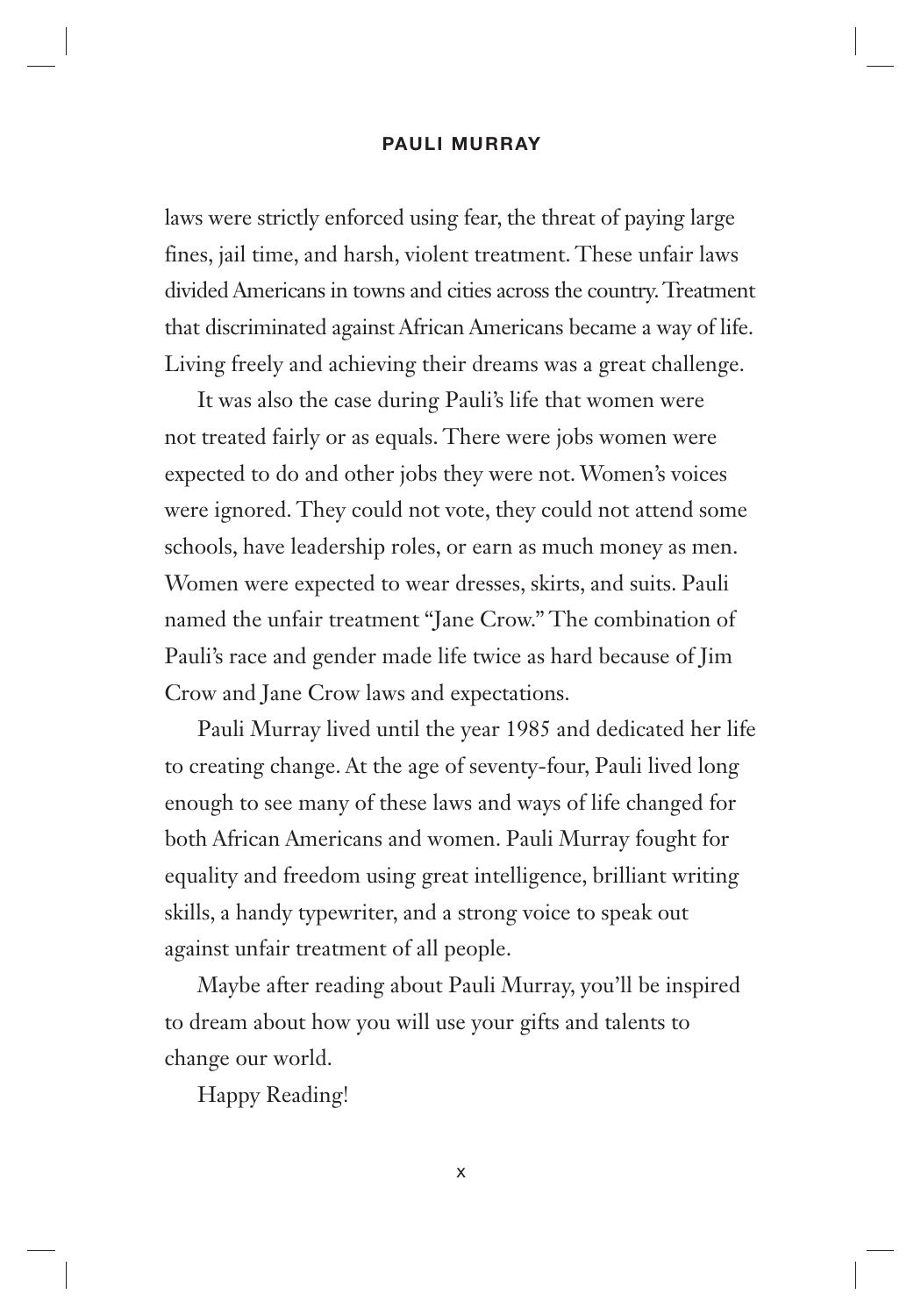laws were strictly enforced using fear, the threat of paying large fines, jail time, and harsh, violent treatment. These unfair laws divided Americans in towns and cities across the country. Treatment that discriminated against African Americans became a way of life. Living freely and achieving their dreams was a great challenge.

It was also the case during Pauli's life that women were not treated fairly or as equals. There were jobs women were expected to do and other jobs they were not. Women's voices were ignored. They could not vote, they could not attend some schools, have leadership roles, or earn as much money as men. Women were expected to wear dresses, skirts, and suits. Pauli named the unfair treatment "Jane Crow." The combination of Pauli's race and gender made life twice as hard because of Jim Crow and Jane Crow laws and expectations.

Pauli Murray lived until the year 1985 and dedicated her life to creating change. At the age of seventy-four, Pauli lived long enough to see many of these laws and ways of life changed for both African Americans and women. Pauli Murray fought for equality and freedom using great intelligence, brilliant writing skills, a handy typewriter, and a strong voice to speak out against unfair treatment of all people.

Maybe after reading about Pauli Murray, you'll be inspired to dream about how you will use your gifts and talents to change our world.

Happy Reading!

x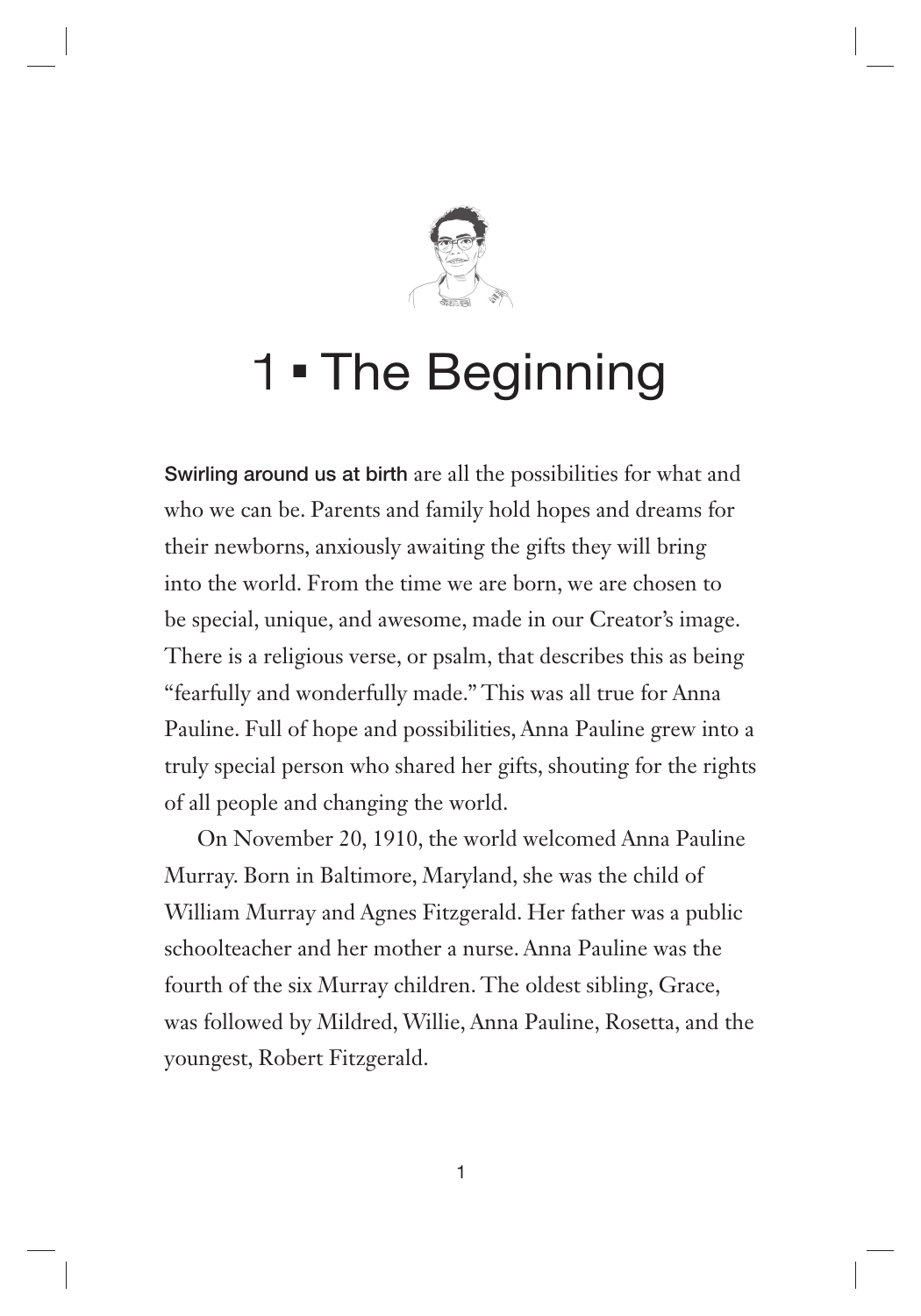

## 1 • The Beginning

**Swirling around us at birth** are all the possibilities for what and who we can be. Parents and family hold hopes and dreams for their newborns, anxiously awaiting the gifts they will bring into the world. From the time we are born, we are chosen to be special, unique, and awesome, made in our Creator's image. There is a religious verse, or psalm, that describes this as being "fearfully and wonderfully made." This was all true for Anna Pauline. Full of hope and possibilities, Anna Pauline grew into a truly special person who shared her gifts, shouting for the rights of all people and changing the world.

On November 20, 1910, the world welcomed Anna Pauline Murray. Born in Baltimore, Maryland, she was the child of William Murray and Agnes Fitzgerald. Her father was a public schoolteacher and her mother a nurse. Anna Pauline was the fourth of the six Murray children. The oldest sibling, Grace, was followed by Mildred, Willie, Anna Pauline, Rosetta, and the youngest, Robert Fitzgerald.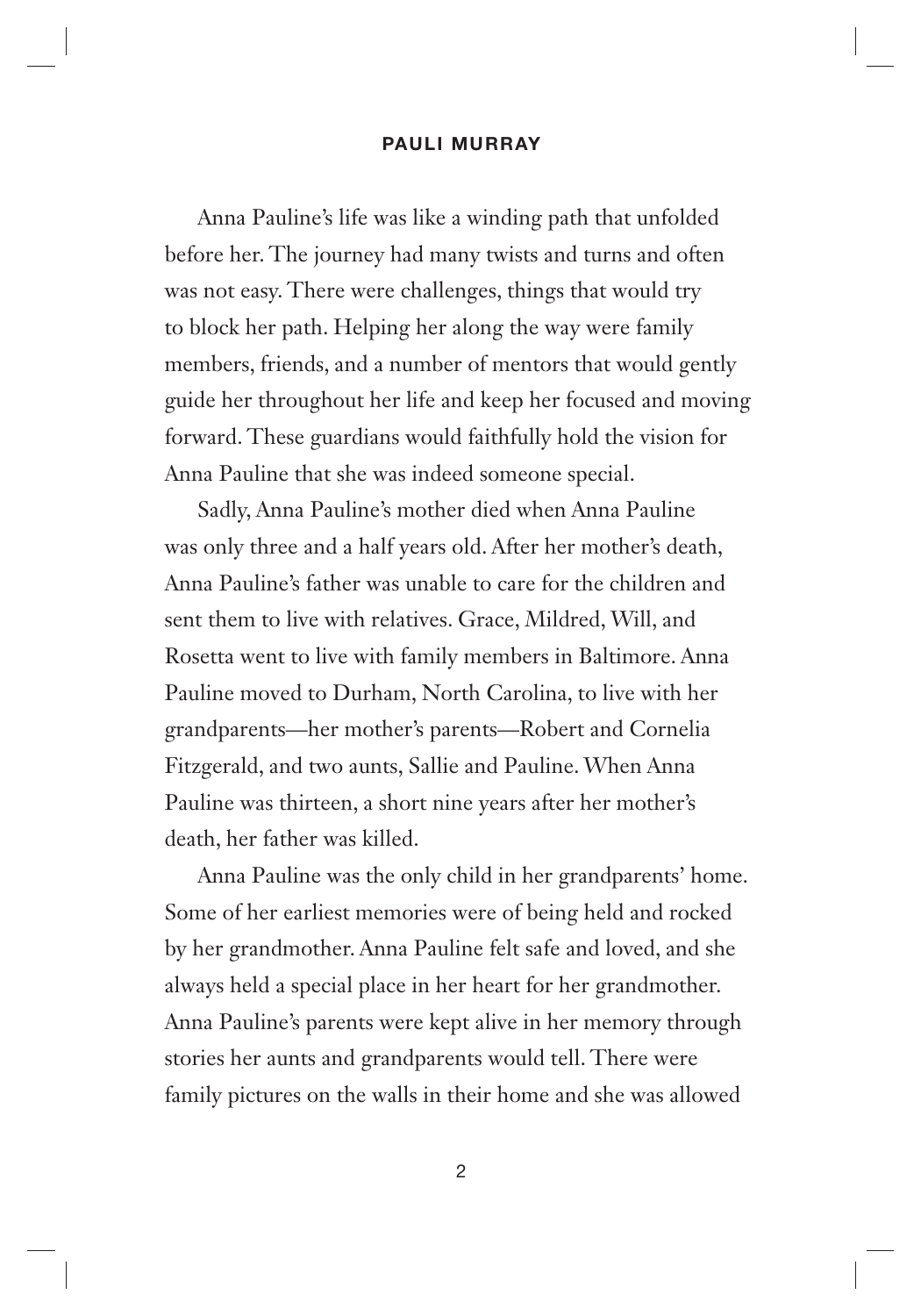Anna Pauline's life was like a winding path that unfolded before her. The journey had many twists and turns and often was not easy. There were challenges, things that would try to block her path. Helping her along the way were family members, friends, and a number of mentors that would gently guide her throughout her life and keep her focused and moving forward. These guardians would faithfully hold the vision for Anna Pauline that she was indeed someone special.

Sadly, Anna Pauline's mother died when Anna Pauline was only three and a half years old. After her mother's death, Anna Pauline's father was unable to care for the children and sent them to live with relatives. Grace, Mildred, Will, and Rosetta went to live with family members in Baltimore. Anna Pauline moved to Durham, North Carolina, to live with her grandparents—her mother's parents—Robert and Cornelia Fitzgerald, and two aunts, Sallie and Pauline. When Anna Pauline was thirteen, a short nine years after her mother's death, her father was killed.

Anna Pauline was the only child in her grandparents' home. Some of her earliest memories were of being held and rocked by her grandmother. Anna Pauline felt safe and loved, and she always held a special place in her heart for her grandmother. Anna Pauline's parents were kept alive in her memory through stories her aunts and grandparents would tell. There were family pictures on the walls in their home and she was allowed

2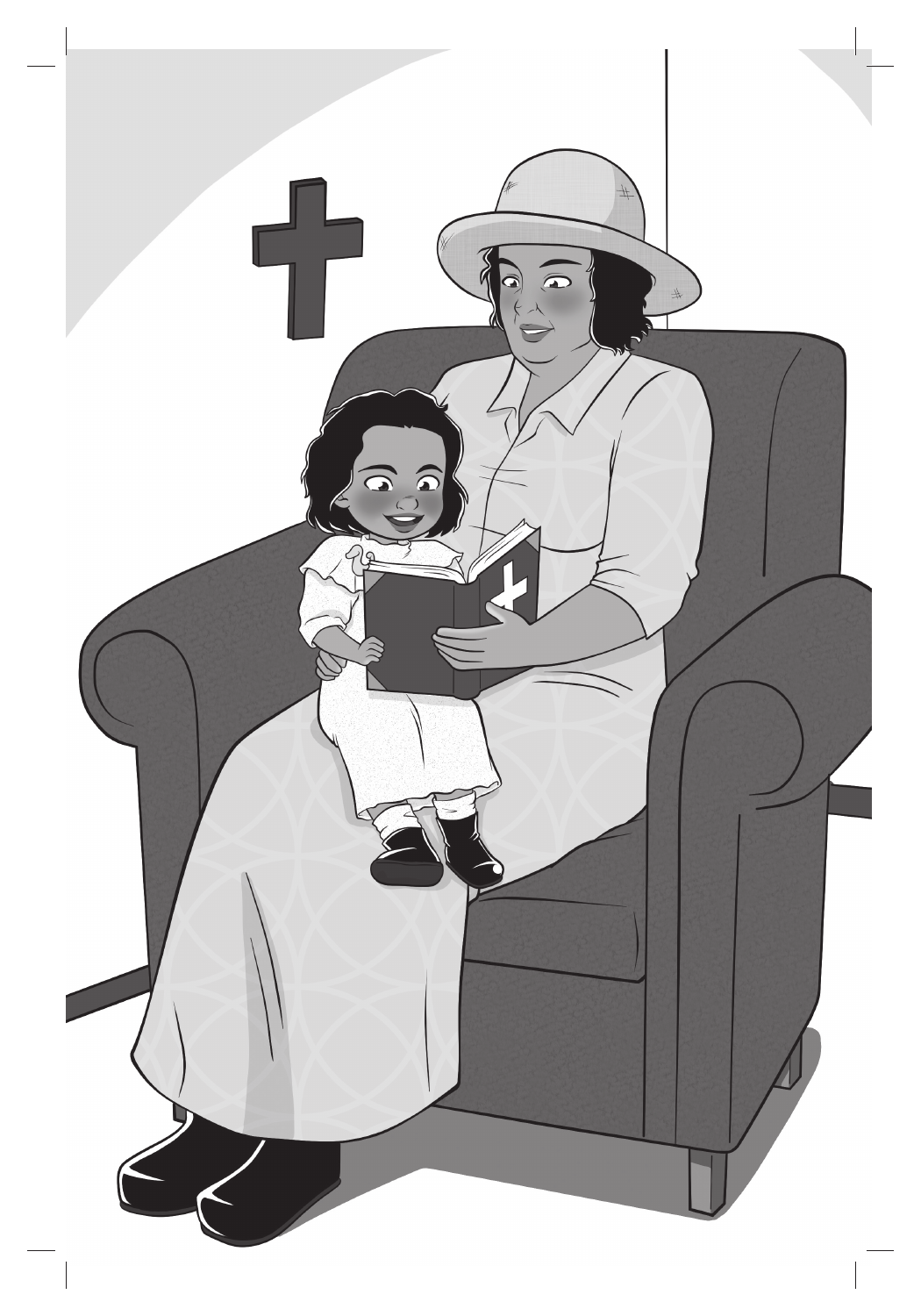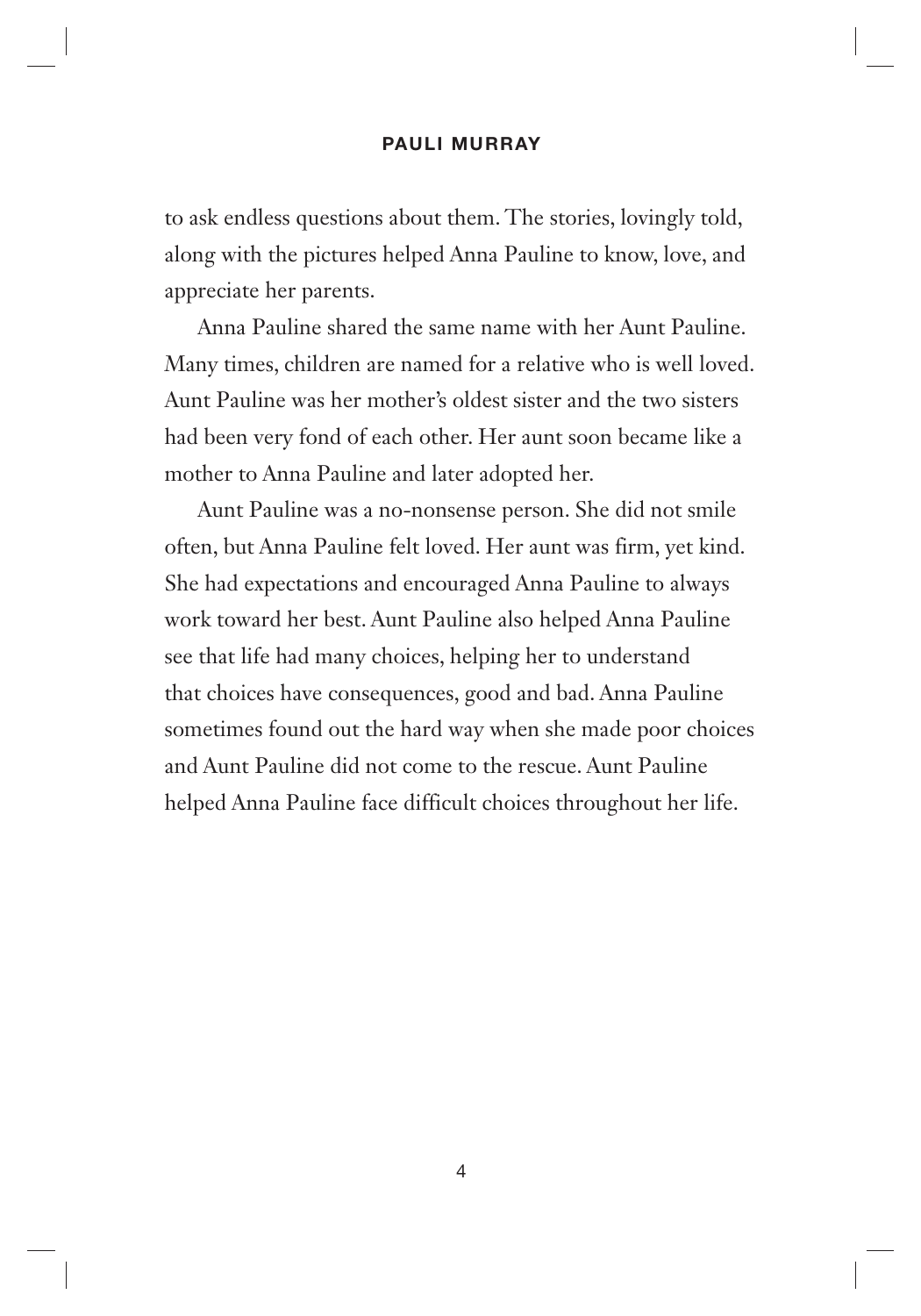to ask endless questions about them. The stories, lovingly told, along with the pictures helped Anna Pauline to know, love, and appreciate her parents.

Anna Pauline shared the same name with her Aunt Pauline. Many times, children are named for a relative who is well loved. Aunt Pauline was her mother's oldest sister and the two sisters had been very fond of each other. Her aunt soon became like a mother to Anna Pauline and later adopted her.

Aunt Pauline was a no-nonsense person. She did not smile often, but Anna Pauline felt loved. Her aunt was firm, yet kind. She had expectations and encouraged Anna Pauline to always work toward her best. Aunt Pauline also helped Anna Pauline see that life had many choices, helping her to understand that choices have consequences, good and bad. Anna Pauline sometimes found out the hard way when she made poor choices and Aunt Pauline did not come to the rescue. Aunt Pauline helped Anna Pauline face difficult choices throughout her life.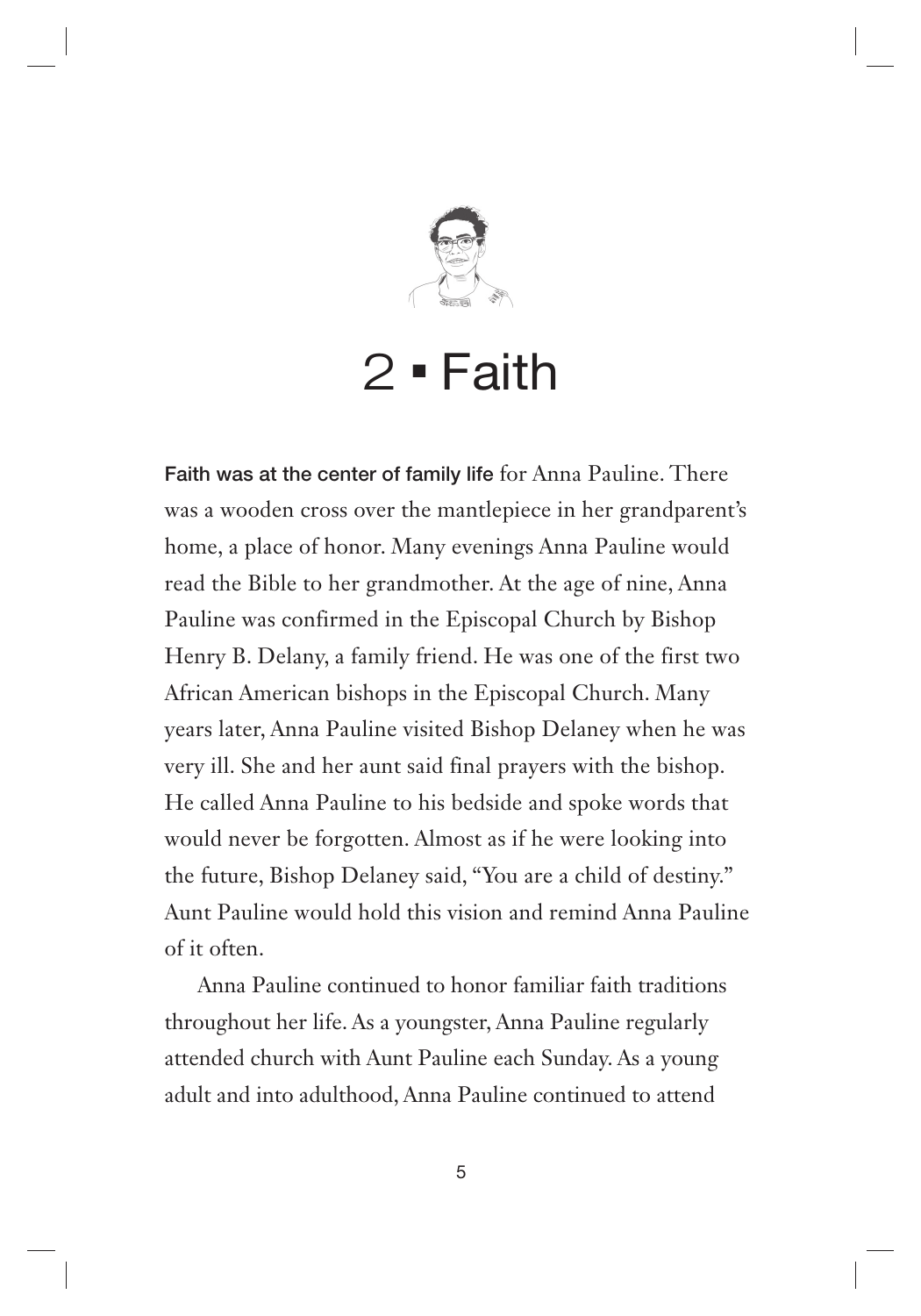

### 2 ■ Faith

**Faith was at the center of family life** for Anna Pauline. There was a wooden cross over the mantlepiece in her grandparent's home, a place of honor. Many evenings Anna Pauline would read the Bible to her grandmother. At the age of nine, Anna Pauline was confirmed in the Episcopal Church by Bishop Henry B. Delany, a family friend. He was one of the first two African American bishops in the Episcopal Church. Many years later, Anna Pauline visited Bishop Delaney when he was very ill. She and her aunt said final prayers with the bishop. He called Anna Pauline to his bedside and spoke words that would never be forgotten. Almost as if he were looking into the future, Bishop Delaney said, "You are a child of destiny." Aunt Pauline would hold this vision and remind Anna Pauline of it often.

Anna Pauline continued to honor familiar faith traditions throughout her life. As a youngster, Anna Pauline regularly attended church with Aunt Pauline each Sunday. As a young adult and into adulthood, Anna Pauline continued to attend